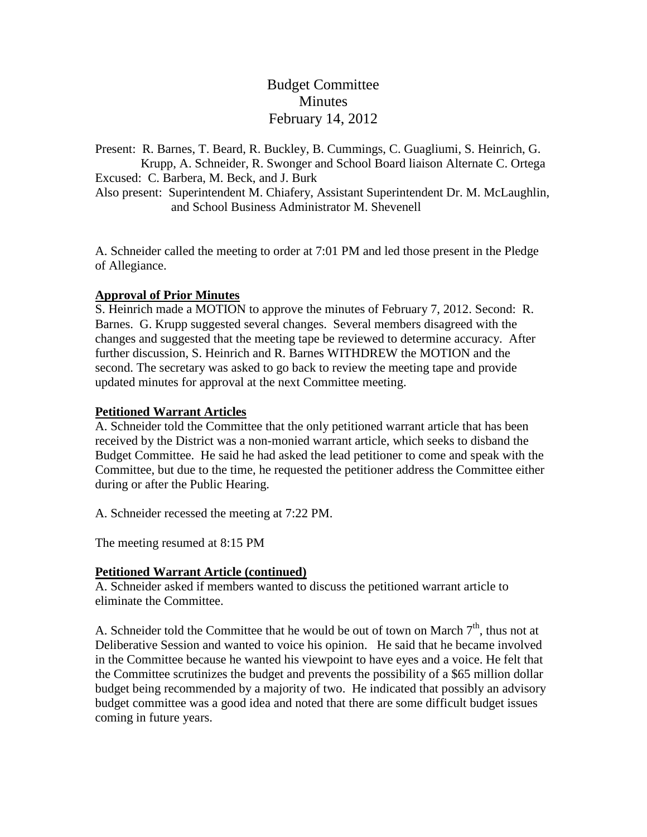Budget Committee Minutes February 14, 2012

Present: R. Barnes, T. Beard, R. Buckley, B. Cummings, C. Guagliumi, S. Heinrich, G. Krupp, A. Schneider, R. Swonger and School Board liaison Alternate C. Ortega Excused: C. Barbera, M. Beck, and J. Burk Also present: Superintendent M. Chiafery, Assistant Superintendent Dr. M. McLaughlin, and School Business Administrator M. Shevenell

A. Schneider called the meeting to order at 7:01 PM and led those present in the Pledge of Allegiance.

### **Approval of Prior Minutes**

S. Heinrich made a MOTION to approve the minutes of February 7, 2012. Second: R. Barnes. G. Krupp suggested several changes. Several members disagreed with the changes and suggested that the meeting tape be reviewed to determine accuracy. After further discussion, S. Heinrich and R. Barnes WITHDREW the MOTION and the second. The secretary was asked to go back to review the meeting tape and provide updated minutes for approval at the next Committee meeting.

## **Petitioned Warrant Articles**

A. Schneider told the Committee that the only petitioned warrant article that has been received by the District was a non-monied warrant article, which seeks to disband the Budget Committee. He said he had asked the lead petitioner to come and speak with the Committee, but due to the time, he requested the petitioner address the Committee either during or after the Public Hearing.

A. Schneider recessed the meeting at 7:22 PM.

The meeting resumed at 8:15 PM

### **Petitioned Warrant Article (continued)**

A. Schneider asked if members wanted to discuss the petitioned warrant article to eliminate the Committee.

A. Schneider told the Committee that he would be out of town on March  $7<sup>th</sup>$ , thus not at Deliberative Session and wanted to voice his opinion. He said that he became involved in the Committee because he wanted his viewpoint to have eyes and a voice. He felt that the Committee scrutinizes the budget and prevents the possibility of a \$65 million dollar budget being recommended by a majority of two. He indicated that possibly an advisory budget committee was a good idea and noted that there are some difficult budget issues coming in future years.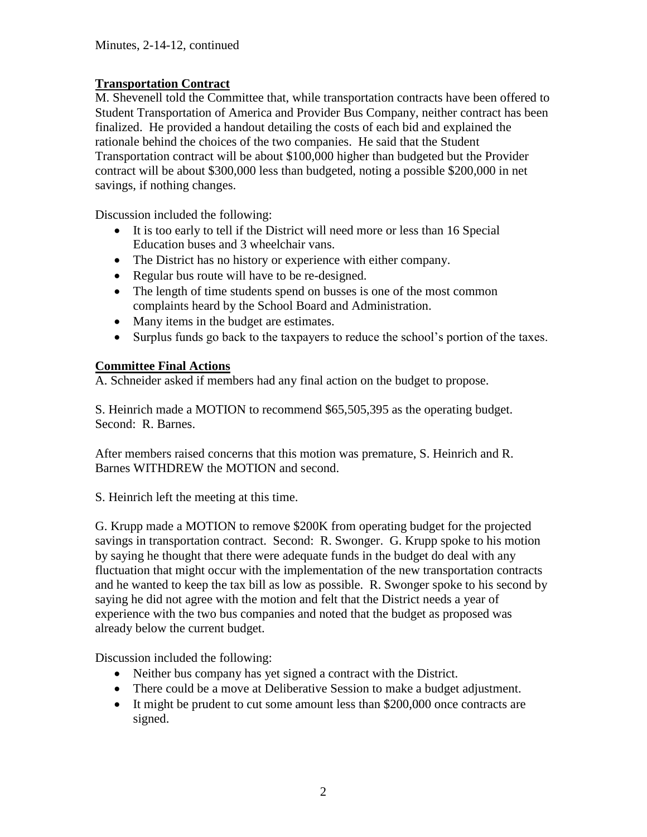# **Transportation Contract**

M. Shevenell told the Committee that, while transportation contracts have been offered to Student Transportation of America and Provider Bus Company, neither contract has been finalized. He provided a handout detailing the costs of each bid and explained the rationale behind the choices of the two companies. He said that the Student Transportation contract will be about \$100,000 higher than budgeted but the Provider contract will be about \$300,000 less than budgeted, noting a possible \$200,000 in net savings, if nothing changes.

Discussion included the following:

- It is too early to tell if the District will need more or less than 16 Special Education buses and 3 wheelchair vans.
- The District has no history or experience with either company.
- Regular bus route will have to be re-designed.
- The length of time students spend on busses is one of the most common complaints heard by the School Board and Administration.
- Many items in the budget are estimates.
- Surplus funds go back to the taxpayers to reduce the school's portion of the taxes.

## **Committee Final Actions**

A. Schneider asked if members had any final action on the budget to propose.

S. Heinrich made a MOTION to recommend \$65,505,395 as the operating budget. Second: R. Barnes.

After members raised concerns that this motion was premature, S. Heinrich and R. Barnes WITHDREW the MOTION and second.

S. Heinrich left the meeting at this time.

G. Krupp made a MOTION to remove \$200K from operating budget for the projected savings in transportation contract. Second: R. Swonger. G. Krupp spoke to his motion by saying he thought that there were adequate funds in the budget do deal with any fluctuation that might occur with the implementation of the new transportation contracts and he wanted to keep the tax bill as low as possible. R. Swonger spoke to his second by saying he did not agree with the motion and felt that the District needs a year of experience with the two bus companies and noted that the budget as proposed was already below the current budget.

Discussion included the following:

- Neither bus company has yet signed a contract with the District.
- There could be a move at Deliberative Session to make a budget adjustment.
- It might be prudent to cut some amount less than \$200,000 once contracts are signed.